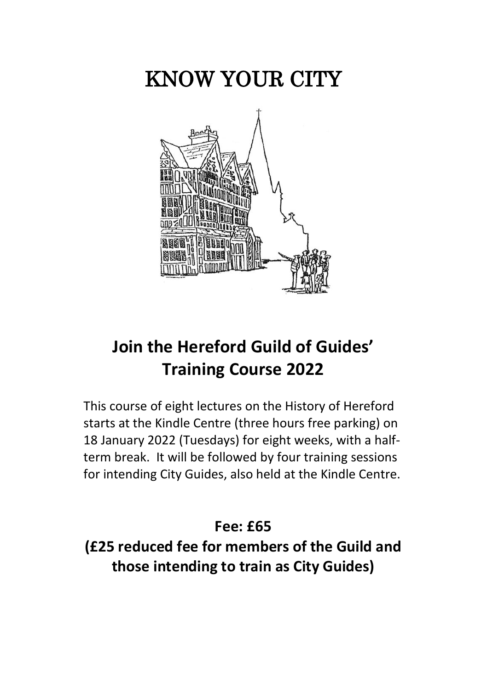# KNOW YOUR CITY



### **Join the Hereford Guild of Guides' Training Course 2022**

This course of eight lectures on the History of Hereford starts at the Kindle Centre (three hours free parking) on 18 January 2022 (Tuesdays) for eight weeks, with a halfterm break. It will be followed by four training sessions for intending City Guides, also held at the Kindle Centre.

### **Fee: £65**

**(£25 reduced fee for members of the Guild and those intending to train as City Guides)**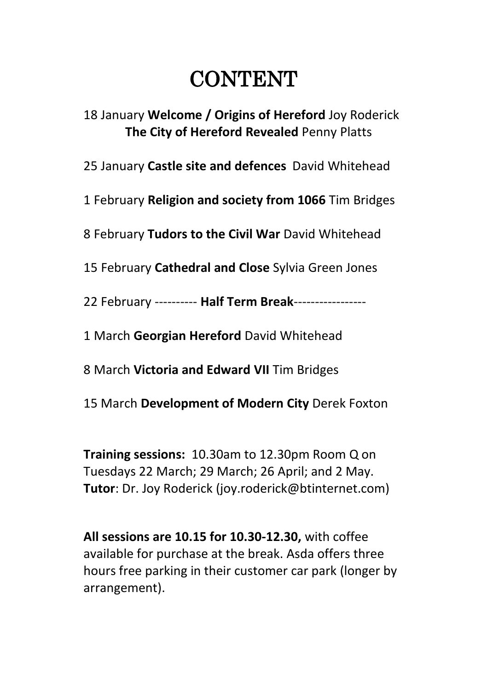# **CONTENT**

18 January **Welcome / Origins of Hereford** Joy Roderick **The City of Hereford Revealed** Penny Platts

25 January **Castle site and defences** David Whitehead

1 February **Religion and society from 1066** Tim Bridges

8 February **Tudors to the Civil War** David Whitehead

15 February **Cathedral and Close** Sylvia Green Jones

22 February ---------- **Half Term Break**-----------------

1 March **Georgian Hereford** David Whitehead

8 March **Victoria and Edward VII** Tim Bridges

15 March **Development of Modern City** Derek Foxton

**Training sessions:** 10.30am to 12.30pm Room Q on Tuesdays 22 March; 29 March; 26 April; and 2 May. **Tutor**: Dr. Joy Roderick (joy.roderick@btinternet.com)

**All sessions are 10.15 for 10.30-12.30,** with coffee available for purchase at the break. Asda offers three hours free parking in their customer car park (longer by arrangement).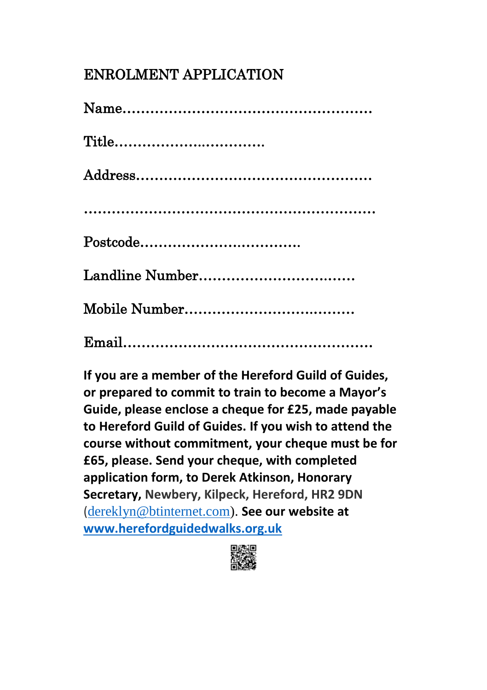### ENROLMENT APPLICATION

| $Title \ldots \ldots \ldots \ldots \ldots \ldots \ldots \ldots \ldots \ldots$ |
|-------------------------------------------------------------------------------|
|                                                                               |
|                                                                               |
|                                                                               |
|                                                                               |
|                                                                               |
|                                                                               |

**If you are a member of the Hereford Guild of Guides, or prepared to commit to train to become a Mayor's Guide, please enclose a cheque for £25, made payable to Hereford Guild of Guides. If you wish to attend the course without commitment, your cheque must be for £65, please. Send your cheque, with completed application form, to Derek Atkinson, Honorary Secretary, Newbery, Kilpeck, Hereford, HR2 9DN** ([dereklyn@btinternet.com\)](mailto:dereklyn@btinternet.com). **See our website at [www.herefordguidedwalks.org.uk](https://www.herefordguidedwalks.org.uk/)**